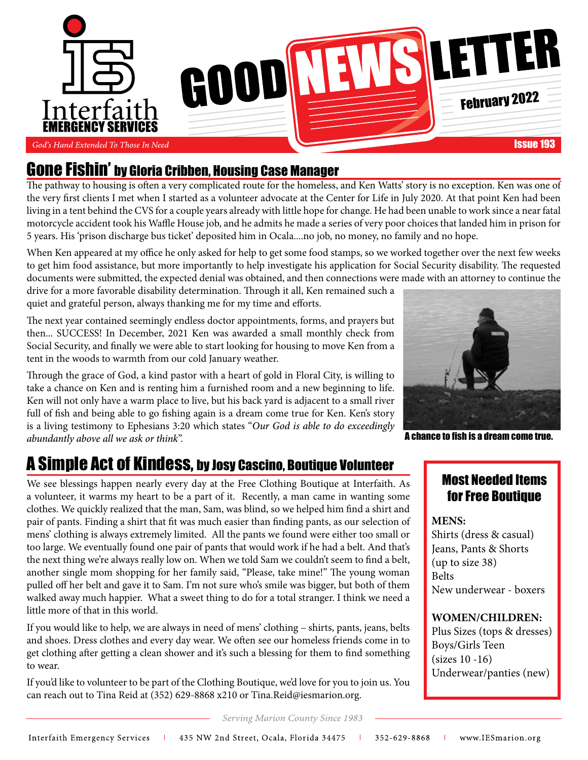

### Gone Fishin' by Gloria Cribben, Housing Case Manager

The pathway to housing is often a very complicated route for the homeless, and Ken Watts' story is no exception. Ken was one of the very first clients I met when I started as a volunteer advocate at the Center for Life in July 2020. At that point Ken had been living in a tent behind the CVS for a couple years already with little hope for change. He had been unable to work since a near fatal motorcycle accident took his Waffle House job, and he admits he made a series of very poor choices that landed him in prison for 5 years. His 'prison discharge bus ticket' deposited him in Ocala....no job, no money, no family and no hope.

When Ken appeared at my office he only asked for help to get some food stamps, so we worked together over the next few weeks to get him food assistance, but more importantly to help investigate his application for Social Security disability. The requested documents were submitted, the expected denial was obtained, and then connections were made with an attorney to continue the

drive for a more favorable disability determination. Through it all, Ken remained such a quiet and grateful person, always thanking me for my time and efforts.

The next year contained seemingly endless doctor appointments, forms, and prayers but then... SUCCESS! In December, 2021 Ken was awarded a small monthly check from Social Security, and finally we were able to start looking for housing to move Ken from a tent in the woods to warmth from our cold January weather.

Through the grace of God, a kind pastor with a heart of gold in Floral City, is willing to take a chance on Ken and is renting him a furnished room and a new beginning to life. Ken will not only have a warm place to live, but his back yard is adjacent to a small river full of fish and being able to go fishing again is a dream come true for Ken. Ken's story is a living testimony to Ephesians 3:20 which states "*Our God is able to do exceedingly abundantly above all we ask or think*".

### A Simple Act of Kindess, by Josy Cascino, Boutique Volunteer

We see blessings happen nearly every day at the Free Clothing Boutique at Interfaith. As a volunteer, it warms my heart to be a part of it. Recently, a man came in wanting some clothes. We quickly realized that the man, Sam, was blind, so we helped him find a shirt and pair of pants. Finding a shirt that fit was much easier than finding pants, as our selection of mens' clothing is always extremely limited. All the pants we found were either too small or too large. We eventually found one pair of pants that would work if he had a belt. And that's the next thing we're always really low on. When we told Sam we couldn't seem to find a belt, another single mom shopping for her family said, "Please, take mine!" The young woman pulled off her belt and gave it to Sam. I'm not sure who's smile was bigger, but both of them walked away much happier. What a sweet thing to do for a total stranger. I think we need a little more of that in this world.

If you would like to help, we are always in need of mens' clothing – shirts, pants, jeans, belts and shoes. Dress clothes and every day wear. We often see our homeless friends come in to get clothing after getting a clean shower and it's such a blessing for them to find something to wear.

If you'd like to volunteer to be part of the Clothing Boutique, we'd love for you to join us. You can reach out to Tina Reid at (352) 629-8868 x210 or Tina.Reid@iesmarion.org.



A chance to fish is a dream come true.

#### Most Needed Items for Free Boutique

#### **MENS:**

Shirts (dress & casual) Jeans, Pants & Shorts (up to size 38) Belts New underwear - boxers

#### **WOMEN/CHILDREN:**

Plus Sizes (tops & dresses) Boys/Girls Teen (sizes 10 -16) Underwear/panties (new)

Serving Marion County Since 1983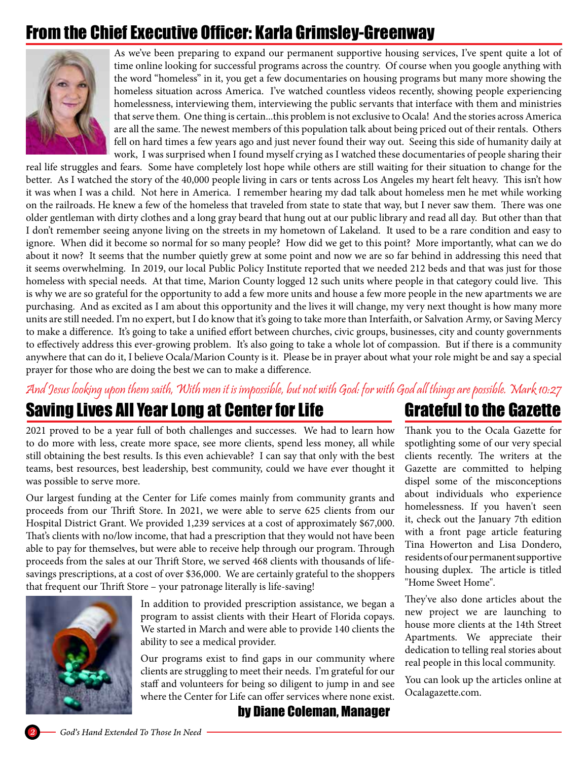# From the Chief Executive Officer: Karla Grimsley-Greenway



As we've been preparing to expand our permanent supportive housing services, I've spent quite a lot of time online looking for successful programs across the country. Of course when you google anything with the word "homeless" in it, you get a few documentaries on housing programs but many more showing the homeless situation across America. I've watched countless videos recently, showing people experiencing homelessness, interviewing them, interviewing the public servants that interface with them and ministries that serve them. One thing is certain...this problem is not exclusive to Ocala! And the stories across America are all the same. The newest members of this population talk about being priced out of their rentals. Others fell on hard times a few years ago and just never found their way out. Seeing this side of humanity daily at work, I was surprised when I found myself crying as I watched these documentaries of people sharing their

real life struggles and fears. Some have completely lost hope while others are still waiting for their situation to change for the better. As I watched the story of the 40,000 people living in cars or tents across Los Angeles my heart felt heavy. This isn't how it was when I was a child. Not here in America. I remember hearing my dad talk about homeless men he met while working on the railroads. He knew a few of the homeless that traveled from state to state that way, but I never saw them. There was one older gentleman with dirty clothes and a long gray beard that hung out at our public library and read all day. But other than that I don't remember seeing anyone living on the streets in my hometown of Lakeland. It used to be a rare condition and easy to ignore. When did it become so normal for so many people? How did we get to this point? More importantly, what can we do about it now? It seems that the number quietly grew at some point and now we are so far behind in addressing this need that it seems overwhelming. In 2019, our local Public Policy Institute reported that we needed 212 beds and that was just for those homeless with special needs. At that time, Marion County logged 12 such units where people in that category could live. This is why we are so grateful for the opportunity to add a few more units and house a few more people in the new apartments we are purchasing. And as excited as I am about this opportunity and the lives it will change, my very next thought is how many more units are still needed. I'm no expert, but I do know that it's going to take more than Interfaith, or Salvation Army, or Saving Mercy to make a difference. It's going to take a unified effort between churches, civic groups, businesses, city and county governments to effectively address this ever-growing problem. It's also going to take a whole lot of compassion. But if there is a community anywhere that can do it, I believe Ocala/Marion County is it. Please be in prayer about what your role might be and say a special prayer for those who are doing the best we can to make a difference.

### And Jesus looking upon them saith, With men it is impossible, but not with God: for with God all things are possible. Mark 10:27

## Saving Lives All Year Long at Center for Life

# Grateful to the Gazette

2021 proved to be a year full of both challenges and successes. We had to learn how to do more with less, create more space, see more clients, spend less money, all while still obtaining the best results. Is this even achievable? I can say that only with the best teams, best resources, best leadership, best community, could we have ever thought it was possible to serve more.

Our largest funding at the Center for Life comes mainly from community grants and proceeds from our Thrift Store. In 2021, we were able to serve 625 clients from our Hospital District Grant. We provided 1,239 services at a cost of approximately \$67,000. That's clients with no/low income, that had a prescription that they would not have been able to pay for themselves, but were able to receive help through our program. Through proceeds from the sales at our Thrift Store, we served 468 clients with thousands of lifesavings prescriptions, at a cost of over \$36,000. We are certainly grateful to the shoppers that frequent our Thrift Store – your patronage literally is life-saving!



In addition to provided prescription assistance, we began a program to assist clients with their Heart of Florida copays. We started in March and were able to provide 140 clients the ability to see a medical provider.

Our programs exist to find gaps in our community where clients are struggling to meet their needs. I'm grateful for our staff and volunteers for being so diligent to jump in and see where the Center for Life can offer services where none exist.

by Diane Coleman, Manager

Thank you to the Ocala Gazette for spotlighting some of our very special clients recently. The writers at the Gazette are committed to helping dispel some of the misconceptions about individuals who experience homelessness. If you haven't seen it, check out the January 7th edition with a front page article featuring Tina Howerton and Lisa Dondero, residents of our permanent supportive housing duplex. The article is titled "Home Sweet Home".

They've also done articles about the new project we are launching to house more clients at the 14th Street Apartments. We appreciate their dedication to telling real stories about real people in this local community.

You can look up the articles online at Ocalagazette.com.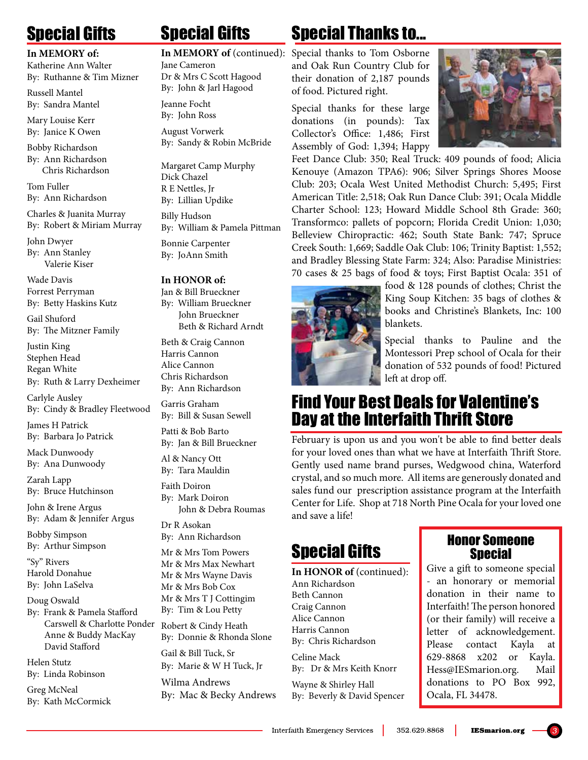# Special Gifts

**In MEMORY of:**  Katherine Ann Walter By: Ruthanne & Tim Mizner

Russell Mantel By: Sandra Mantel

Mary Louise Kerr By: Janice K Owen

Bobby Richardson By: Ann Richardson Chris Richardson

Tom Fuller By: Ann Richardson

Charles & Juanita Murray By: Robert & Miriam Murray

John Dwyer By: Ann Stanley Valerie Kiser

Wade Davis Forrest Perryman By: Betty Haskins Kutz

Gail Shuford By: The Mitzner Family

Justin King Stephen Head Regan White By: Ruth & Larry Dexheimer

Carlyle Ausley By: Cindy & Bradley Fleetwood

James H Patrick By: Barbara Jo Patrick

Mack Dunwoody By: Ana Dunwoody

Zarah Lapp By: Bruce Hutchinson

John & Irene Argus By: Adam & Jennifer Argus

Bobby Simpson By: Arthur Simpson

"Sy" Rivers Harold Donahue By: John LaSelva

Doug Oswald

By: Frank & Pamela Stafford Carswell & Charlotte Ponder Anne & Buddy MacKay David Stafford

Helen Stutz By: Linda Robinson

Greg McNeal By: Kath McCormick

# Special Gifts

Jane Cameron

Dr & Mrs C Scott Hagood By: John & Jarl Hagood Jeanne Focht

By: John Ross August Vorwerk By: Sandy & Robin McBride

Margaret Camp Murphy Dick Chazel R E Nettles, Jr By: Lillian Updike

Billy Hudson By: William & Pamela Pittman

Bonnie Carpenter By: JoAnn Smith

#### **In HONOR of:**

Jan & Bill Brueckner By: William Brueckner John Brueckner Beth & Richard Arndt

Beth & Craig Cannon Harris Cannon Alice Cannon Chris Richardson By: Ann Richardson

Garris Graham By: Bill & Susan Sewell

Patti & Bob Barto By: Jan & Bill Brueckner

Al & Nancy Ott By: Tara Mauldin

Faith Doiron By: Mark Doiron John & Debra Roumas

Dr R Asokan By: Ann Richardson

Mr & Mrs Tom Powers Mr & Mrs Max Newhart Mr & Mrs Wayne Davis Mr & Mrs Bob Cox Mr & Mrs T J Cottingim By: Tim & Lou Petty

Robert & Cindy Heath By: Donnie & Rhonda Slone Gail & Bill Tuck, Sr

By: Marie & W H Tuck, Jr

Wilma Andrews By: Mac & Becky Andrews

# Special Thanks to...

In MEMORY of (continued): Special thanks to Tom Osborne and Oak Run Country Club for their donation of 2,187 pounds of food. Pictured right.

> Special thanks for these large donations (in pounds): Tax Collector's Office: 1,486; First Assembly of God: 1,394; Happy



Feet Dance Club: 350; Real Truck: 409 pounds of food; Alicia Kenouye (Amazon TPA6): 906; Silver Springs Shores Moose Club: 203; Ocala West United Methodist Church: 5,495; First American Title: 2,518; Oak Run Dance Club: 391; Ocala Middle Charter School: 123; Howard Middle School 8th Grade: 360; Transformco: pallets of popcorn; Florida Credit Union: 1,030; Belleview Chiropractic: 462; South State Bank: 747; Spruce Creek South: 1,669; Saddle Oak Club: 106; Trinity Baptist: 1,552; and Bradley Blessing State Farm: 324; Also: Paradise Ministries: 70 cases & 25 bags of food & toys; First Baptist Ocala: 351 of



food & 128 pounds of clothes; Christ the King Soup Kitchen: 35 bags of clothes & books and Christine's Blankets, Inc: 100 blankets.

Special thanks to Pauline and the Montessori Prep school of Ocala for their donation of 532 pounds of food! Pictured left at drop off.

## Find Your Best Deals for Valentine's Day at the Interfaith Thrift Store

February is upon us and you won't be able to find better deals for your loved ones than what we have at Interfaith Thrift Store. Gently used name brand purses, Wedgwood china, Waterford crystal, and so much more. All items are generously donated and sales fund our prescription assistance program at the Interfaith Center for Life. Shop at 718 North Pine Ocala for your loved one and save a life!

## Special Gifts

**In HONOR of** (continued): Ann Richardson Beth Cannon Craig Cannon Alice Cannon Harris Cannon By: Chris Richardson Celine Mack By: Dr & Mrs Keith Knorr

Wayne & Shirley Hall By: Beverly & David Spencer

#### Honor Someone Special

Give a gift to someone special - an honorary or memorial donation in their name to Interfaith! The person honored (or their family) will receive a letter of acknowledgement. Please contact Kayla at 629-8868 x202 or Kayla. Hess@IESmarion.org. Mail donations to PO Box 992, Ocala, FL 34478.